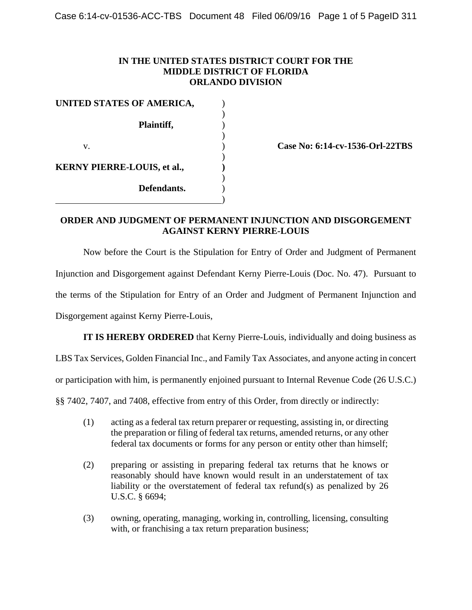## **IN THE UNITED STATES DISTRICT COURT FOR THE MIDDLE DISTRICT OF FLORIDA ORLANDO DIVISION**

| UNITED STATES OF AMERICA,          |             |  |
|------------------------------------|-------------|--|
|                                    |             |  |
|                                    | Plaintiff,  |  |
| V.                                 |             |  |
| <b>KERNY PIERRE-LOUIS, et al.,</b> |             |  |
|                                    |             |  |
|                                    | Defendants. |  |
|                                    |             |  |

**Case No: 6:14-cv-1536-Orl-22TBS**

## **ORDER AND JUDGMENT OF PERMANENT INJUNCTION AND DISGORGEMENT AGAINST KERNY PIERRE-LOUIS**

Now before the Court is the Stipulation for Entry of Order and Judgment of Permanent Injunction and Disgorgement against Defendant Kerny Pierre-Louis (Doc. No. 47). Pursuant to the terms of the Stipulation for Entry of an Order and Judgment of Permanent Injunction and Disgorgement against Kerny Pierre-Louis,

**IT IS HEREBY ORDERED** that Kerny Pierre-Louis, individually and doing business as

LBS Tax Services, Golden Financial Inc., and Family Tax Associates, and anyone acting in concert

or participation with him, is permanently enjoined pursuant to Internal Revenue Code (26 U.S.C.)

§§ 7402, 7407, and 7408, effective from entry of this Order, from directly or indirectly:

- (1) acting as a federal tax return preparer or requesting, assisting in, or directing the preparation or filing of federal tax returns, amended returns, or any other federal tax documents or forms for any person or entity other than himself;
- (2) preparing or assisting in preparing federal tax returns that he knows or reasonably should have known would result in an understatement of tax liability or the overstatement of federal tax refund(s) as penalized by 26 U.S.C. § 6694;
- (3) owning, operating, managing, working in, controlling, licensing, consulting with, or franchising a tax return preparation business;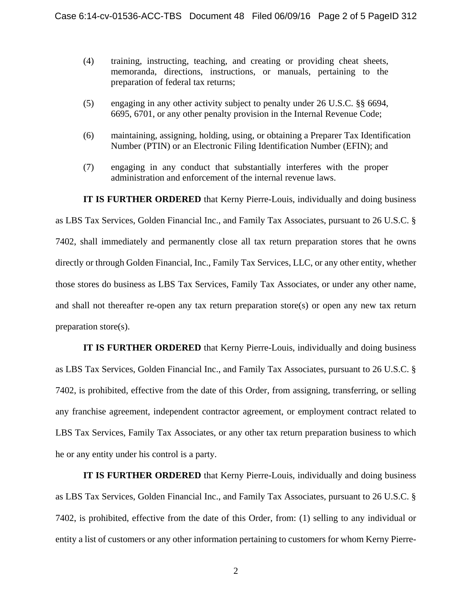- (4) training, instructing, teaching, and creating or providing cheat sheets, memoranda, directions, instructions, or manuals, pertaining to the preparation of federal tax returns;
- (5) engaging in any other activity subject to penalty under 26 U.S.C. §§ 6694, 6695, 6701, or any other penalty provision in the Internal Revenue Code;
- (6) maintaining, assigning, holding, using, or obtaining a Preparer Tax Identification Number (PTIN) or an Electronic Filing Identification Number (EFIN); and
- (7) engaging in any conduct that substantially interferes with the proper administration and enforcement of the internal revenue laws.

**IT IS FURTHER ORDERED** that Kerny Pierre-Louis, individually and doing business

as LBS Tax Services, Golden Financial Inc., and Family Tax Associates, pursuant to 26 U.S.C. § 7402, shall immediately and permanently close all tax return preparation stores that he owns directly or through Golden Financial, Inc., Family Tax Services, LLC, or any other entity, whether those stores do business as LBS Tax Services, Family Tax Associates, or under any other name, and shall not thereafter re-open any tax return preparation store(s) or open any new tax return preparation store(s).

**IT IS FURTHER ORDERED** that Kerny Pierre-Louis, individually and doing business as LBS Tax Services, Golden Financial Inc., and Family Tax Associates, pursuant to 26 U.S.C. § 7402, is prohibited, effective from the date of this Order, from assigning, transferring, or selling any franchise agreement, independent contractor agreement, or employment contract related to LBS Tax Services, Family Tax Associates, or any other tax return preparation business to which he or any entity under his control is a party.

**IT IS FURTHER ORDERED** that Kerny Pierre-Louis, individually and doing business as LBS Tax Services, Golden Financial Inc., and Family Tax Associates, pursuant to 26 U.S.C. § 7402, is prohibited, effective from the date of this Order, from: (1) selling to any individual or entity a list of customers or any other information pertaining to customers for whom Kerny Pierre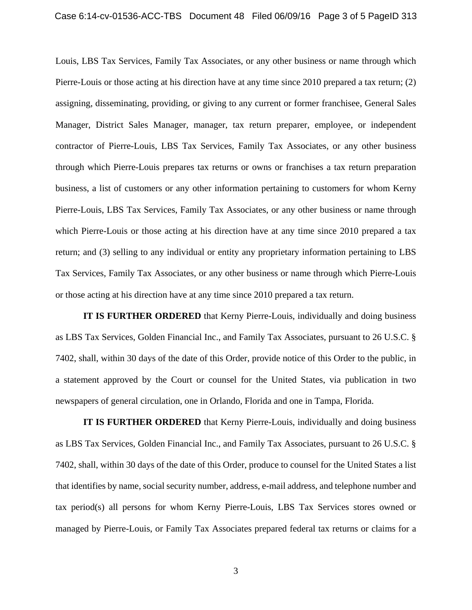Louis, LBS Tax Services, Family Tax Associates, or any other business or name through which Pierre-Louis or those acting at his direction have at any time since 2010 prepared a tax return; (2) assigning, disseminating, providing, or giving to any current or former franchisee, General Sales Manager, District Sales Manager, manager, tax return preparer, employee, or independent contractor of Pierre-Louis, LBS Tax Services, Family Tax Associates, or any other business through which Pierre-Louis prepares tax returns or owns or franchises a tax return preparation business, a list of customers or any other information pertaining to customers for whom Kerny Pierre-Louis, LBS Tax Services, Family Tax Associates, or any other business or name through which Pierre-Louis or those acting at his direction have at any time since 2010 prepared a tax return; and (3) selling to any individual or entity any proprietary information pertaining to LBS Tax Services, Family Tax Associates, or any other business or name through which Pierre-Louis or those acting at his direction have at any time since 2010 prepared a tax return.

**IT IS FURTHER ORDERED** that Kerny Pierre-Louis, individually and doing business as LBS Tax Services, Golden Financial Inc., and Family Tax Associates, pursuant to 26 U.S.C. § 7402, shall, within 30 days of the date of this Order, provide notice of this Order to the public, in a statement approved by the Court or counsel for the United States, via publication in two newspapers of general circulation, one in Orlando, Florida and one in Tampa, Florida.

**IT IS FURTHER ORDERED** that Kerny Pierre-Louis, individually and doing business as LBS Tax Services, Golden Financial Inc., and Family Tax Associates, pursuant to 26 U.S.C. § 7402, shall, within 30 days of the date of this Order, produce to counsel for the United States a list that identifies by name, social security number, address, e-mail address, and telephone number and tax period(s) all persons for whom Kerny Pierre-Louis, LBS Tax Services stores owned or managed by Pierre-Louis, or Family Tax Associates prepared federal tax returns or claims for a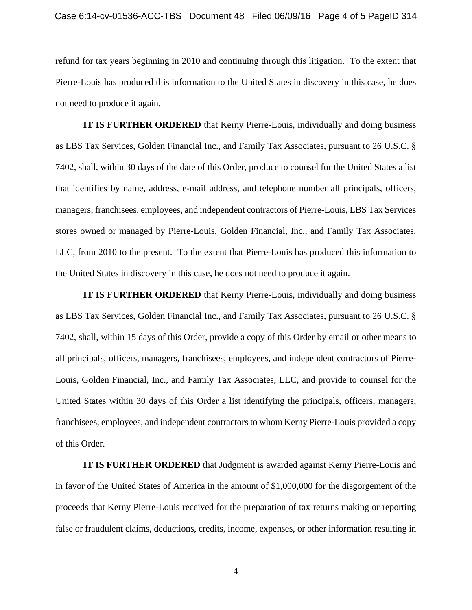refund for tax years beginning in 2010 and continuing through this litigation. To the extent that Pierre-Louis has produced this information to the United States in discovery in this case, he does not need to produce it again.

**IT IS FURTHER ORDERED** that Kerny Pierre-Louis, individually and doing business as LBS Tax Services, Golden Financial Inc., and Family Tax Associates, pursuant to 26 U.S.C. § 7402, shall, within 30 days of the date of this Order, produce to counsel for the United States a list that identifies by name, address, e-mail address, and telephone number all principals, officers, managers, franchisees, employees, and independent contractors of Pierre-Louis, LBS Tax Services stores owned or managed by Pierre-Louis, Golden Financial, Inc., and Family Tax Associates, LLC, from 2010 to the present. To the extent that Pierre-Louis has produced this information to the United States in discovery in this case, he does not need to produce it again.

**IT IS FURTHER ORDERED** that Kerny Pierre-Louis, individually and doing business as LBS Tax Services, Golden Financial Inc., and Family Tax Associates, pursuant to 26 U.S.C. § 7402, shall, within 15 days of this Order, provide a copy of this Order by email or other means to all principals, officers, managers, franchisees, employees, and independent contractors of Pierre-Louis, Golden Financial, Inc., and Family Tax Associates, LLC, and provide to counsel for the United States within 30 days of this Order a list identifying the principals, officers, managers, franchisees, employees, and independent contractors to whom Kerny Pierre-Louis provided a copy of this Order.

**IT IS FURTHER ORDERED** that Judgment is awarded against Kerny Pierre-Louis and in favor of the United States of America in the amount of \$1,000,000 for the disgorgement of the proceeds that Kerny Pierre-Louis received for the preparation of tax returns making or reporting false or fraudulent claims, deductions, credits, income, expenses, or other information resulting in